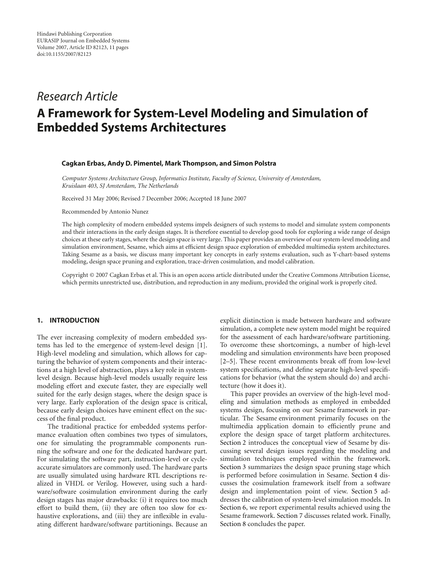## *Research Article*

# **A Framework for System-Level Modeling and Simulation of Embedded Systems Architectures**

#### **Cagkan Erbas, Andy D. Pimentel, Mark Thompson, and Simon Polstra**

*Computer Systems Architecture Group, Informatics Institute, Faculty of Science, University of Amsterdam, Kruislaan 403, SJ Amsterdam, The Netherlands*

Received 31 May 2006; Revised 7 December 2006; Accepted 18 June 2007

Recommended by Antonio Nunez

The high complexity of modern embedded systems impels designers of such systems to model and simulate system components and their interactions in the early design stages. It is therefore essential to develop good tools for exploring a wide range of design choices at these early stages, where the design space is very large. This paper provides an overview of our system-level modeling and simulation environment, Sesame, which aims at efficient design space exploration of embedded multimedia system architectures. Taking Sesame as a basis, we discuss many important key concepts in early systems evaluation, such as Y-chart-based systems modeling, design space pruning and exploration, trace-driven cosimulation, and model calibration.

Copyright © 2007 Cagkan Erbas et al. This is an open access article distributed under the Creative Commons Attribution License, which permits unrestricted use, distribution, and reproduction in any medium, provided the original work is properly cited.

## **1. INTRODUCTION**

The ever increasing complexity of modern embedded systems has led to the emergence of system-level design [\[1](#page-9-1)]. High-level modeling and simulation, which allows for capturing the behavior of system components and their interactions at a high level of abstraction, plays a key role in systemlevel design. Because high-level models usually require less modeling effort and execute faster, they are especially well suited for the early design stages, where the design space is very large. Early exploration of the design space is critical, because early design choices have eminent effect on the success of the final product.

The traditional practice for embedded systems performance evaluation often combines two types of simulators, one for simulating the programmable components running the software and one for the dedicated hardware part. For simulating the software part, instruction-level or cycleaccurate simulators are commonly used. The hardware parts are usually simulated using hardware RTL descriptions realized in VHDL or Verilog. However, using such a hardware/software cosimulation environment during the early design stages has major drawbacks: (i) it requires too much effort to build them, (ii) they are often too slow for exhaustive explorations, and (iii) they are inflexible in evaluating different hardware/software partitionings. Because an

explicit distinction is made between hardware and software simulation, a complete new system model might be required for the assessment of each hardware/software partitioning. To overcome these shortcomings, a number of high-level modeling and simulation environments have been proposed [\[2](#page-9-2)[–5](#page-9-3)]. These recent environments break off from low-level system specifications, and define separate high-level specifications for behavior (what the system should do) and architecture (how it does it).

This paper provides an overview of the high-level modeling and simulation methods as employed in embedded systems design, focusing on our Sesame framework in particular. The Sesame environment primarily focuses on the multimedia application domain to efficiently prune and explore the design space of target platform architectures. [Section 2](#page-1-0) introduces the conceptual view of Sesame by discussing several design issues regarding the modeling and simulation techniques employed within the framework. [Section 3](#page-2-0) summarizes the design space pruning stage which is performed before cosimulation in Sesame. [Section 4](#page-3-0) discusses the cosimulation framework itself from a software design and implementation point of view. [Section 5](#page-6-0) addresses the calibration of system-level simulation models. In [Section 6,](#page-8-0) we report experimental results achieved using the Sesame framework. [Section 7](#page-9-4) discusses related work. Finally, [Section 8](#page-9-5) concludes the paper.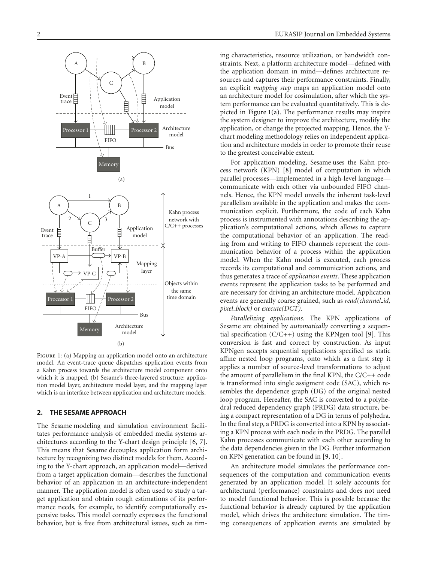<span id="page-1-2"></span><span id="page-1-1"></span>

<span id="page-1-3"></span>Figure 1: (a) Mapping an application model onto an architecture model. An event-trace queue dispatches application events from a Kahn process towards the architecture model component onto which it is mapped. (b) Sesame's three-layered structure: application model layer, architecture model layer, and the mapping layer which is an interface between application and architecture models.

## <span id="page-1-0"></span>**2. THE SESAME APPROACH**

The Sesame modeling and simulation environment facilitates performance analysis of embedded media systems architectures according to the Y-chart design principle [\[6,](#page-9-6) [7](#page-9-7)]. This means that Sesame decouples application form architecture by recognizing two distinct models for them. According to the Y-chart approach, an application model—derived from a target application domain—describes the functional behavior of an application in an architecture-independent manner. The application model is often used to study a target application and obtain rough estimations of its performance needs, for example, to identify computationally expensive tasks. This model correctly expresses the functional behavior, but is free from architectural issues, such as timing characteristics, resource utilization, or bandwidth constraints. Next, a platform architecture model—defined with the application domain in mind—defines architecture resources and captures their performance constraints. Finally, an explicit *mapping step* maps an application model onto an architecture model for cosimulation, after which the system performance can be evaluated quantitatively. This is depicted in [Figure 1\(a\).](#page-1-1) The performance results may inspire the system designer to improve the architecture, modify the application, or change the projected mapping. Hence, the Ychart modeling methodology relies on independent application and architecture models in order to promote their reuse to the greatest conceivable extent.

For application modeling, Sesame uses the Kahn process network (KPN) [\[8](#page-9-8)] model of computation in which parallel processes—implemented in a high-level language communicate with each other via unbounded FIFO channels. Hence, the KPN model unveils the inherent task-level parallelism available in the application and makes the communication explicit. Furthermore, the code of each Kahn process is instrumented with annotations describing the application's computational actions, which allows to capture the computational behavior of an application. The reading from and writing to FIFO channels represent the communication behavior of a process within the application model. When the Kahn model is executed, each process records its computational and communication actions, and thus generates a trace of *application events*. These application events represent the application tasks to be performed and are necessary for driving an architecture model. Application events are generally coarse grained, such as *read(channel id, pixel block)* or *execute(DCT)*.

*Parallelizing applications*. The KPN applications of Sesame are obtained by *automatically* converting a sequential specification  $(C/C++)$  using the KPNgen tool [\[9](#page-9-9)]. This conversion is fast and correct by construction. As input KPNgen accepts sequential applications specified as static affine nested loop programs, onto which as a first step it applies a number of source-level transformations to adjust the amount of parallelism in the final KPN, the C/C++ code is transformed into single assigment code (SAC), which resembles the dependence graph (DG) of the original nested loop program. Hereafter, the SAC is converted to a polyhedral reduced dependency graph (PRDG) data structure, being a compact representation of a DG in terms of polyhedra. In the final step, a PRDG is converted into a KPN by associating a KPN process with each node in the PRDG. The parallel Kahn processes communicate with each other according to the data dependencies given in the DG. Further information on KPN generation can be found in [\[9,](#page-9-9) [10](#page-9-10)].

An architecture model simulates the performance consequences of the computation and communication events generated by an application model. It solely accounts for architectural (performance) constraints and does not need to model functional behavior. This is possible because the functional behavior is already captured by the application model, which drives the architecture simulation. The timing consequences of application events are simulated by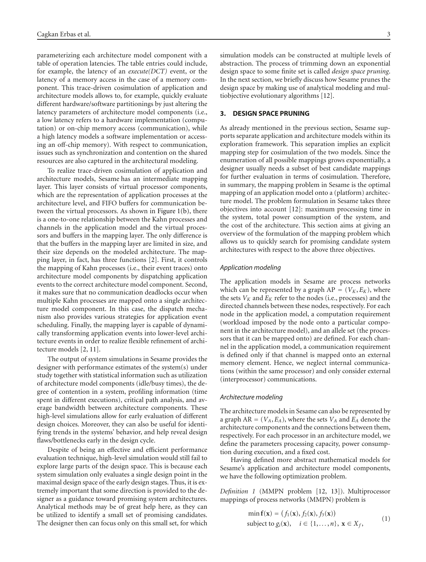parameterizing each architecture model component with a table of operation latencies. The table entries could include, for example, the latency of an *execute(DCT)* event, or the latency of a memory access in the case of a memory component. This trace-driven cosimulation of application and architecture models allows to, for example, quickly evaluate different hardware/software partitionings by just altering the latency parameters of architecture model components (i.e., a low latency refers to a hardware implementation (computation) or on-chip memory access (communication), while a high latency models a software implementation or accessing an off-chip memory). With respect to communication, issues such as synchronization and contention on the shared resources are also captured in the architectural modeling.

To realize trace-driven cosimulation of application and architecture models, Sesame has an intermediate mapping layer. This layer consists of virtual processor components, which are the representation of application processes at the architecture level, and FIFO buffers for communication between the virtual processors. As shown in [Figure 1\(b\),](#page-1-2) there is a one-to-one relationship between the Kahn processes and channels in the application model and the virtual processors and buffers in the mapping layer. The only difference is that the buffers in the mapping layer are limited in size, and their size depends on the modeled architecture. The mapping layer, in fact, has three functions [\[2\]](#page-9-2). First, it controls the mapping of Kahn processes (i.e., their event traces) onto architecture model components by dispatching application events to the correct architecture model component. Second, it makes sure that no communication deadlocks occur when multiple Kahn processes are mapped onto a single architecture model component. In this case, the dispatch mechanism also provides various strategies for application event scheduling. Finally, the mapping layer is capable of dynamically transforming application events into lower-level architecture events in order to realize flexible refinement of architecture models [\[2,](#page-9-2) [11\]](#page-9-11).

The output of system simulations in Sesame provides the designer with performance estimates of the system(s) under study together with statistical information such as utilization of architecture model components (idle/busy times), the degree of contention in a system, profiling information (time spent in different executions), critical path analysis, and average bandwidth between architecture components. These high-level simulations allow for early evaluation of different design choices. Moreover, they can also be useful for identifying trends in the systems' behavior, and help reveal design flaws/bottlenecks early in the design cycle.

Despite of being an effective and efficient performance evaluation technique, high-level simulation would still fail to explore large parts of the design space. This is because each system simulation only evaluates a single design point in the maximal design space of the early design stages. Thus, it is extremely important that some direction is provided to the designer as a guidance toward promising system architectures. Analytical methods may be of great help here, as they can be utilized to identify a small set of promising candidates. The designer then can focus only on this small set, for which

simulation models can be constructed at multiple levels of abstraction. The process of trimming down an exponential design space to some finite set is called *design space pruning*. In the next section, we briefly discuss how Sesame prunes the design space by making use of analytical modeling and multiobjective evolutionary algorithms [\[12](#page-10-0)].

## <span id="page-2-0"></span>**3. DESIGN SPACE PRUNING**

As already mentioned in the previous section, Sesame supports separate application and architecture models within its exploration framework. This separation implies an explicit mapping step for cosimulation of the two models. Since the enumeration of all possible mappings grows exponentially, a designer usually needs a subset of best candidate mappings for further evaluation in terms of cosimulation. Therefore, in summary, the mapping problem in Sesame is the optimal mapping of an application model onto a (platform) architecture model. The problem formulation in Sesame takes three objectives into account [\[12\]](#page-10-0): maximum processing time in the system, total power consumption of the system, and the cost of the architecture. This section aims at giving an overview of the formulation of the mapping problem which allows us to quickly search for promising candidate system architectures with respect to the above three objectives.

#### *Application modeling*

The application models in Sesame are process networks which can be represented by a graph  $AP = (V_K, E_K)$ , where the sets  $V_K$  and  $E_K$  refer to the nodes (i.e., processes) and the directed channels between these nodes, respectively. For each node in the application model, a computation requirement (workload imposed by the node onto a particular component in the architecture model), and an allele set (the processors that it can be mapped onto) are defined. For each channel in the application model, a communication requirement is defined only if that channel is mapped onto an external memory element. Hence, we neglect internal communications (within the same processor) and only consider external (interprocessor) communications.

## *Architecture modeling*

The architecture models in Sesame can also be represented by a graph  $AR = (V_A, E_A)$ , where the sets  $V_A$  and  $E_A$  denote the architecture components and the connections between them, respectively. For each processor in an architecture model, we define the parameters processing capacity, power consumption during execution, and a fixed cost.

Having defined more abstract mathematical models for Sesame's application and architecture model components, we have the following optimization problem.

*Definition 1* (MMPN problem [\[12](#page-10-0), [13\]](#page-10-1)). Multiprocessor mappings of process networks (MMPN) problem is

$$
\min \mathbf{f}(\mathbf{x}) = (f_1(\mathbf{x}), f_2(\mathbf{x}), f_3(\mathbf{x}))
$$
  
subject to  $g_i(\mathbf{x}), \quad i \in \{1, ..., n\}, \mathbf{x} \in X_f,$  (1)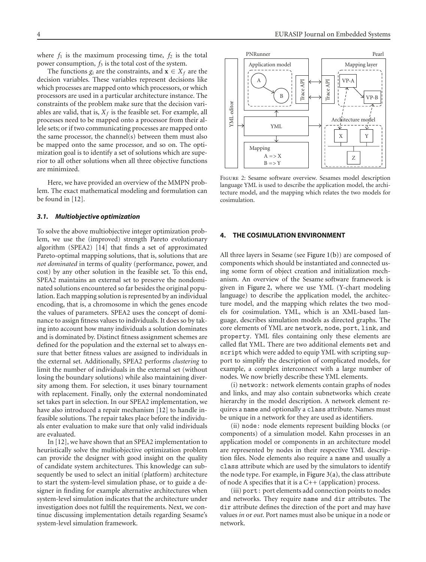where  $f_1$  is the maximum processing time,  $f_2$  is the total power consumption,  $f_3$  is the total cost of the system.

The functions  $g_i$  are the constraints, and  $\mathbf{x} \in X_f$  are the decision variables. These variables represent decisions like which processes are mapped onto which processors, or which processors are used in a particular architecture instance. The constraints of the problem make sure that the decision variables are valid, that is,  $X_f$  is the feasible set. For example, all processes need to be mapped onto a processor from their allele sets; or if two communicating processes are mapped onto the same processor, the channel(s) between them must also be mapped onto the same processor, and so on. The optimization goal is to identify a set of solutions which are superior to all other solutions when all three objective functions are minimized.

Here, we have provided an overview of the MMPN problem. The exact mathematical modeling and formulation can be found in [\[12\]](#page-10-0).

#### *3.1. Multiobjective optimization*

To solve the above multiobjective integer optimization problem, we use the (improved) strength Pareto evolutionary algorithm (SPEA2) [\[14\]](#page-10-2) that finds a set of approximated Pareto-optimal mapping solutions, that is, solutions that are *not dominated* in terms of quality (performance, power, and cost) by any other solution in the feasible set. To this end, SPEA2 maintains an external set to preserve the nondominated solutions encountered so far besides the original population. Each mapping solution is represented by an individual encoding, that is, a chromosome in which the genes encode the values of parameters. SPEA2 uses the concept of dominance to assign fitness values to individuals. It does so by taking into account how many individuals a solution dominates and is dominated by. Distinct fitness assignment schemes are defined for the population and the external set to always ensure that better fitness values are assigned to individuals in the external set. Additionally, SPEA2 performs *clustering* to limit the number of individuals in the external set (without losing the boundary solutions) while also maintaining diversity among them. For selection, it uses binary tournament with replacement. Finally, only the external nondominated set takes part in selection. In our SPEA2 implementation, we have also introduced a repair mechanism [\[12](#page-10-0)] to handle infeasible solutions. The repair takes place before the individuals enter evaluation to make sure that only valid individuals are evaluated.

In [\[12\]](#page-10-0), we have shown that an SPEA2 implementation to heuristically solve the multiobjective optimization problem can provide the designer with good insight on the quality of candidate system architectures. This knowledge can subsequently be used to select an initial (platform) architecture to start the system-level simulation phase, or to guide a designer in finding for example alternative architectures when system-level simulation indicates that the architecture under investigation does not fulfill the requirements. Next, we continue discussing implementation details regarding Sesame's system-level simulation framework.



<span id="page-3-1"></span>Figure 2: Sesame software overview. Sesames model description language YML is used to describe the application model, the architecture model, and the mapping which relates the two models for cosimulation.

## <span id="page-3-0"></span>**4. THE COSIMULATION ENVIRONMENT**

All three layers in Sesame (see [Figure 1\(b\)\)](#page-1-2) are composed of components which should be instantiated and connected using some form of object creation and initialization mechanism. An overview of the Sesame software framework is given in [Figure 2,](#page-3-1) where we use YML (Y-chart modeling language) to describe the application model, the architecture model, and the mapping which relates the two models for cosimulation. YML, which is an XML-based language, describes simulation models as directed graphs. The core elements of YML are network, node, port, link, and property. YML files containing only these elements are called flat YML. There are two additional elements set and script which were added to equip YML with scripting support to simplify the description of complicated models, for example, a complex interconnect with a large number of nodes. We now briefly describe these YML elements.

(i) network: network elements contain graphs of nodes and links, and may also contain subnetworks which create hierarchy in the model description. A network element requires a name and optionally a class attribute. Names must be unique in a network for they are used as identifiers.

(ii) node: node elements represent building blocks (or components) of a simulation model. Kahn processes in an application model or components in an architecture model are represented by nodes in their respective YML description files. Node elements also require a name and usually a class attribute which are used by the simulators to identify the node type. For example, in [Figure 3\(a\),](#page-4-0) the class attribute of node A specifies that it is a  $C++$  (application) process.

(iii) port: port elements add connection points to nodes and networks. They require name and dir attributes. The dir attribute defines the direction of the port and may have values *in* or *out*. Port names must also be unique in a node or network.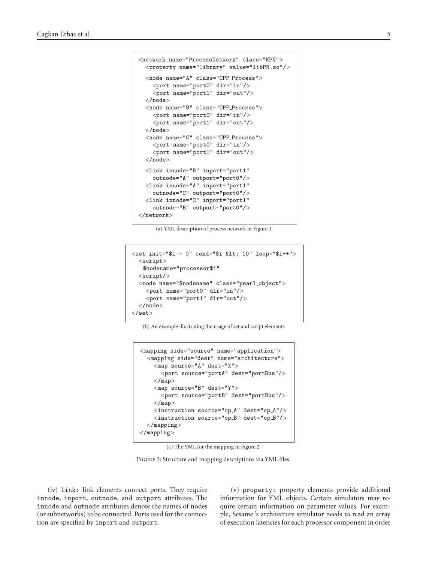```
<network name="ProcessNetwork" class="KPN">
  <property name="library" value="libPN.so"/>
  <node name="A" class="CPP Process">
    <port name="port0" dir="in"/>
 <port name="port1" dir="out"/>
  </node>
  <node name="B" class="CPP Process">
    <port name="port0" dir="in"/>
    <port name="port1" dir="out"/>
 </node>
  <node name="C" class="CPP Process">
    <port name="port0" dir="in"/>
    <port name="port1" dir="out"/>
 </node>
  <link innode="B" inport="port1"
   outnode="A" outport="port0"/>
 <link innode="A" inport="port1"
    outnode="C" outport="port0"/>
 <link innode="C" inport="port1"
    outnode="B" outport="port0"/>
</network>
```
(a) YML description of process network in [Figure 1](#page-1-3)

```
<set init="$i = 0" cond="$i < 10" loop="$i++">
 <script>
  $nodename="processor$i"
 <script/>
  <node name="$nodename" class="pearl object">
   <port name="port0" dir="in"/>
    <port name="port1" dir="out"/>
 </node>
</set>
```
(b) An example illustrating the usage of set and script elements

```
<mapping side="source" name="application">
 <mapping side="dest" name="architecture">
    <map source="A" dest="X">
     <port source="portA" dest="portBus"/>
    </map>
    <map source="B" dest="Y">
      <port source="portB" dest="portBus"/>
    </map>
    <instruction source="op A" dest="op A"/>
    <instruction source="op B" dest="op B"/>
  </mapping>
</mapping>
```
(c) The YML for the mapping in [Figure 2](#page-3-1)

<span id="page-4-2"></span>Figure 3: Structure and mapping descriptions via YML files.

(iv) link: link elements connect ports. They require innode, inport, outnode, and outport attributes. The innode and outnode attributes denote the names of nodes (or subnetworks) to be connected. Ports used for the connection are specified by inport and outport.

(v) property: property elements provide additional information for YML objects. Certain simulators may require certain information on parameter values. For example, Sesame 's architecture simulator needs to read an array of execution latencies for each processor component in order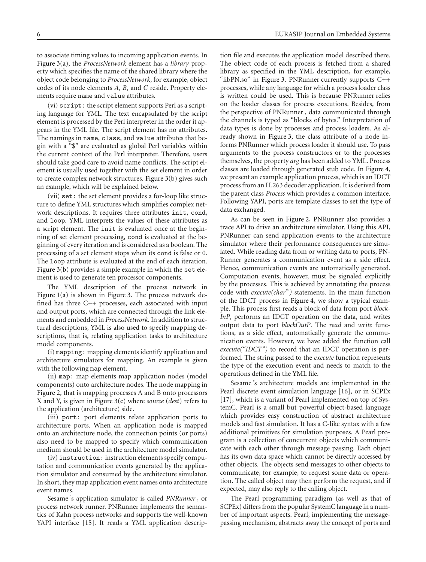to associate timing values to incoming application events. In [Figure 3\(a\),](#page-4-0) the *ProcessNetwork* element has a *library* property which specifies the name of the shared library where the object code belonging to *ProcessNetwork*, for example, object codes of its node elements *A*, *B*, and *C* reside. Property elements require name and value attributes.

(vi) script: the script element supports Perl as a scripting language for YML. The text encapsulated by the script element is processed by the Perl interpreter in the order it appears in the YML file. The script element has no attributes. The namings in name, class, and value attributes that begin with a "\$" are evaluated as global Perl variables within the current context of the Perl interpreter. Therefore, users should take good care to avoid name conflicts. The script element is usually used together with the set element in order to create complex network structures. [Figure 3\(b\)](#page-4-1) gives such an example, which will be explained below.

(vii) set: the set element provides a for-loop like structure to define YML structures which simplifies complex network descriptions. It requires three attributes init, cond, and loop. YML interprets the values of these attributes as a script element. The init is evaluated once at the beginning of set element processing, cond is evaluated at the beginning of every iteration and is considered as a boolean. The processing of a set element stops when its cond is false or 0. The loop attribute is evaluated at the end of each iteration. [Figure 3\(b\)](#page-4-1) provides a simple example in which the set element is used to generate ten processor components.

The YML description of the process network in Figure  $1(a)$  is shown in [Figure 3.](#page-4-2) The process network defined has three C++ processes, each associated with input and output ports, which are connected through the link elements and embedded in *ProcessNetwork*. In addition to structural descriptions, YML is also used to specify mapping descriptions, that is, relating application tasks to architecture model components.

(i) mapping: mapping elements identify application and architecture simulators for mapping. An example is given with the following map element.

(ii) map: map elements map application nodes (model components) onto architecture nodes. The node mapping in [Figure 2,](#page-3-1) that is mapping processes A and B onto processors X and Y, is given in [Figure 3\(c\)](#page-4-3) where *source* (*dest*) refers to the application (architecture) side.

(iii) port: port elements relate application ports to architecture ports. When an application node is mapped onto an architecture node, the connection points (or ports) also need to be mapped to specify which communication medium should be used in the architecture model simulator.

(iv) instruction: instruction elements specify computation and communication events generated by the application simulator and consumed by the architecture simulator. In short, they map application event names onto architecture event names.

Sesame 's application simulator is called *PNRunner* , or process network runner. PNRunner implements the semantics of Kahn process networks and supports the well-known YAPI interface [\[15](#page-10-3)]. It reads a YML application description file and executes the application model described there. The object code of each process is fetched from a shared library as specified in the YML description, for example, "libPN.so" in [Figure 3.](#page-4-2) PNRunner currently supports C++ processes, while any language for which a process loader class is written could be used. This is because PNRunner relies on the loader classes for process executions. Besides, from the perspective of PNRunner , data communicated through the channels is typed as "blocks of bytes." Interpretation of data types is done by processes and process loaders. As already shown in [Figure 3,](#page-4-2) the class attribute of a node informs PNRunner which process loader it should use. To pass arguments to the process constructors or to the processes themselves, the property *arg* has been added to YML. Process classes are loaded through generated stub code. In [Figure 4,](#page-6-1) we present an example application process, which is an IDCT process from an H.263 decoder application. It is derived from the parent class *Process* which provides a common interface. Following YAPI, ports are template classes to set the type of data exchanged.

As can be seen in [Figure 2,](#page-3-1) PNRunner also provides a trace API to drive an architecture simulator. Using this API, PNRunner can send application events to the architecture simulator where their performance consequences are simulated. While reading data from or writing data to ports, PN-Runner generates a communication event as a side effect. Hence, communication events are automatically generated. Computation events, however, must be signaled explicitly by the processes. This is achieved by annotating the process code with *execute(char*<sup>∗</sup>*)* statements. In the main function of the IDCT process in [Figure 4,](#page-6-1) we show a typical example. This process first reads a block of data from port *block-InP*, performs an IDCT operation on the data, and writes output data to port *blockOutP*. The *read* and *write* functions, as a side effect, automatically generate the communication events. However, we have added the function call *execute("IDCT")* to record that an IDCT operation is performed. The string passed to the *execute* function represents the type of the execution event and needs to match to the operations defined in the YML file.

Sesame 's architecture models are implemented in the Pearl discrete event simulation language [\[16](#page-10-4)], or in SCPEx [\[17](#page-10-5)], which is a variant of Pearl implemented on top of SystemC. Pearl is a small but powerful object-based language which provides easy construction of abstract architecture models and fast simulation. It has a C-like syntax with a few additional primitives for simulation purposes. A Pearl program is a collection of concurrent objects which communicate with each other through message passing. Each object has its own data space which cannot be directly accessed by other objects. The objects send messages to other objects to communicate, for example, to request some data or operation. The called object may then perform the request, and if expected, may also reply to the calling object.

The Pearl programming paradigm (as well as that of SCPEx) differs from the popular SystemC language in a number of important aspects. Pearl, implementing the messagepassing mechanism, abstracts away the concept of ports and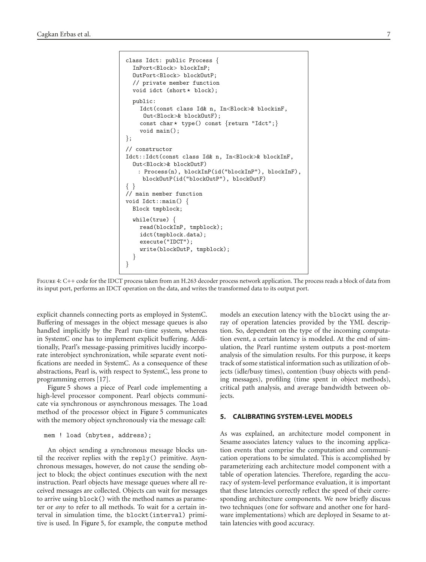```
class Idct: public Process {
 InPort<Block> blockInP;
  OutPort<Block> blockOutP;
  // private member function
  void idct (short * block);
  public:
    Idct(const class Id& n, In<Block>& blockinF,
     Out<Block>& blockOutF);
    const char-
 type() const {return "Idct";}
    void main();
};
// constructor
Idct::Idct(const class Id& n, In<Block>& blockInF,
  Out<Block>& blockOutF)
   : Process(n), blockInP(id("blockInP"), blockInF),
     blockOutP(id("blockOutP"), blockOutF)
{ }
// main member function
void Idct::main() {
 Block tmpblock;
  while(true) {
    read(blockInP, tmpblock);
    idct(tmpblock.data);
    execute("IDCT");
    write(blockOutP, tmpblock);
  }
}
```
<span id="page-6-1"></span>FIGURE 4: C++ code for the IDCT process taken from an H.263 decoder process network application. The process reads a block of data from its input port, performs an IDCT operation on the data, and writes the transformed data to its output port.

explicit channels connecting ports as employed in SystemC. Buffering of messages in the object message queues is also handled implicitly by the Pearl run-time system, whereas in SystemC one has to implement explicit buffering. Additionally, Pearl's message-passing primitives lucidly incorporate interobject synchronization, while separate event notifications are needed in SystemC. As a consequence of these abstractions, Pearl is, with respect to SystemC, less prone to programming errors [\[17](#page-10-5)].

[Figure 5](#page-7-0) shows a piece of Pearl code implementing a high-level processor component. Pearl objects communicate via synchronous or asynchronous messages. The load method of the processor object in [Figure 5](#page-7-0) communicates with the memory object synchronously via the message call:

#### mem ! load (nbytes, address);

An object sending a synchronous message blocks until the receiver replies with the reply() primitive. Asynchronous messages, however, do not cause the sending object to block; the object continues execution with the next instruction. Pearl objects have message queues where all received messages are collected. Objects can wait for messages to arrive using block() with the method names as parameter or *any* to refer to all methods. To wait for a certain interval in simulation time, the blockt(interval) primitive is used. In [Figure 5,](#page-7-0) for example, the compute method models an execution latency with the blockt using the array of operation latencies provided by the YML description. So, dependent on the type of the incoming computation event, a certain latency is modeled. At the end of simulation, the Pearl runtime system outputs a post-mortem analysis of the simulation results. For this purpose, it keeps track of some statistical information such as utilization of objects (idle/busy times), contention (busy objects with pending messages), profiling (time spent in object methods), critical path analysis, and average bandwidth between objects.

## <span id="page-6-0"></span>**5. CALIBRATING SYSTEM-LEVEL MODELS**

As was explained, an architecture model component in Sesame associates latency values to the incoming application events that comprise the computation and communication operations to be simulated. This is accomplished by parameterizing each architecture model component with a table of operation latencies. Therefore, regarding the accuracy of system-level performance evaluation, it is important that these latencies correctly reflect the speed of their corresponding architecture components. We now briefly discuss two techniques (one for software and another one for hardware implementations) which are deployed in Sesame to attain latencies with good accuracy.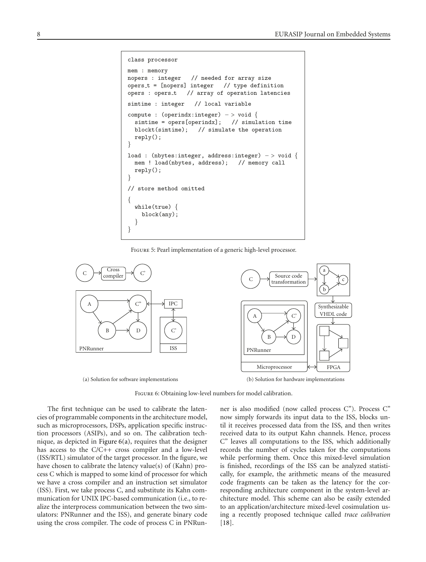```
class processor
mem : memory
nopers : integer // needed for array size
opers_t = [novers] integer // type definition
opers : opers_t // array of operation latencies
simtime : integer // local variable
compute : (operindx:integer) - > void {<br>simtime = opers[operindx]; // simulation time
  sintime = opers[operindx];
  blockt(simtime); // simulate the operation
  reply();
}
load : (nbytes:integer, address:integer) − > void {
  mem ! load(nbytes, address); // memory call
  reply();
}
// store method omitted
{
  while(true) {
    block(any);
  }
}
```
<span id="page-7-2"></span><span id="page-7-0"></span>Figure 5: Pearl implementation of a generic high-level processor.

<span id="page-7-1"></span>

(b) Solution for hardware implementations

Figure 6: Obtaining low-level numbers for model calibration.

The first technique can be used to calibrate the latencies of programmable components in the architecture model, such as microprocessors, DSPs, application specific instruction processors (ASIPs), and so on. The calibration technique, as depicted in [Figure 6\(a\),](#page-7-1) requires that the designer has access to the C/C++ cross compiler and a low-level (ISS/RTL) simulator of the target processor. In the figure, we have chosen to calibrate the latency value(s) of (Kahn) process C which is mapped to some kind of processor for which we have a cross compiler and an instruction set simulator (ISS). First, we take process C, and substitute its Kahn communication for UNIX IPC-based communication (i.e., to realize the interprocess communication between the two simulators: PNRunner and the ISS), and generate binary code using the cross compiler. The code of process C in PNRunner is also modified (now called process C"). Process C" now simply forwards its input data to the ISS, blocks until it receives processed data from the ISS, and then writes received data to its output Kahn channels. Hence, process C" leaves all computations to the ISS, which additionally records the number of cycles taken for the computations while performing them. Once this mixed-level simulation is finished, recordings of the ISS can be analyzed statistically, for example, the arithmetic means of the measured code fragments can be taken as the latency for the corresponding architecture component in the system-level architecture model. This scheme can also be easily extended to an application/architecture mixed-level cosimulation using a recently proposed technique called *trace calibration* [\[18](#page-10-6)].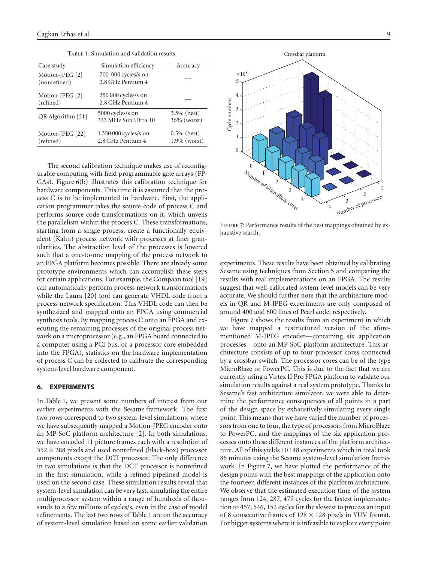TABLE 1: Simulation and validation results.

<span id="page-8-1"></span>

| Case study                      | Simulation efficiency                      | Accuracy                          |
|---------------------------------|--------------------------------------------|-----------------------------------|
| Motion-JPEG [2]<br>(nonrefined) | 700 000 cycles/s on<br>2.8 GHz Pentium 4   |                                   |
| Motion-JPEG [2]<br>(refined)    | 250 000 cycles/s on<br>2.8 GHz Pentium 4   |                                   |
| QR Algorithm [21]               | 5000 cycles/s on<br>333 MHz Sun Ultra 10   | $3.5\%$ (best)<br>36% (worst)     |
| Motion-JPEG [22]<br>(refined)   | 1 350 000 cycles/s on<br>2.8 GHz Pentium 4 | $0.5\%$ (best)<br>$1.9\%$ (worst) |

The second calibration technique makes use of reconfigurable computing with field programmable gate arrays (FP-GAs). [Figure 6\(b\)](#page-7-2) illustrates this calibration technique for hardware components. This time it is assumed that the process C is to be implemented in hardware. First, the application programmer takes the source code of process C and performs source code transformations on it, which unveils the parallelism within the process C. These transformations, starting from a single process, create a functionally equivalent (Kahn) process network with processes at finer granularities. The abstraction level of the processes is lowered such that a one-to-one mapping of the process network to an FPGA platform becomes possible. There are already some prototype environments which can accomplish these steps for certain applications. For example, the Compaan tool [\[19\]](#page-10-9) can automatically perform process network transformations while the Laura [\[20](#page-10-10)] tool can generate VHDL code from a process network specification. This VHDL code can then be synthesized and mapped onto an FPGA using commercial synthesis tools. By mapping process C onto an FPGA and executing the remaining processes of the original process network on a microprocessor (e.g., an FPGA board connected to a computer using a PCI bus, or a processor core embedded into the FPGA), statistics on the hardware implementation of process C can be collected to calibrate the corresponding system-level hardware component.

## <span id="page-8-0"></span>**6. EXPERIMENTS**

In [Table 1,](#page-8-1) we present some numbers of interest from our earlier experiments with the Sesame framework. The first two rows correspond to two system-level simulations, where we have subsequently mapped a Motion-JPEG encoder onto an MP-SoC platform architecture [\[2](#page-9-2)]. In both simulations, we have encoded 11 picture frames each with a resolution of  $352 \times 288$  pixels and used nonrefined (black-box) processor components except the DCT processor. The only difference in two simulations is that the DCT processor is nonrefined in the first simulation, while a refined pipelined model is used on the second case. These simulation results reveal that system-level simulation can be very fast, simulating the entire multiprocessor system within a range of hundreds of thousands to a few millions of cycles/s, even in the case of model refinements. The last two rows of [Table 1](#page-8-1) are on the accuracy of system-level simulation based on some earlier validation



<span id="page-8-2"></span>Figure 7: Performance results of the best mappings obtained by exhaustive search.

experiments. These results have been obtained by calibrating Sesame using techniques from [Section 5](#page-6-0) and comparing the results with real implementations on an FPGA. The results suggest that well-calibrated system-level models can be very accurate. We should further note that the architecture models in QR and M-JPEG experiments are only composed of around 400 and 600 lines of Pearl code, respectively.

[Figure 7](#page-8-2) shows the results from an experiment in which we have mapped a restructured version of the aforementioned M-JPEG encoder—containing six application processes—onto an MP-SoC platform architecture. This architecture consists of up to four processor cores connected by a crossbar switch. The processor cores can be of the type MicroBlaze or PowerPC. This is due to the fact that we are currently using a Virtex II Pro FPGA platform to validate our simulation results against a real system prototype. Thanks to Sesame's fast architecture simulator, we were able to determine the performance consequences of all points in a part of the design space by exhaustively simulating every single point. This means that we have varied the number of processors from one to four, the type of processors from MicroBlaze to PowerPC, and the mappings of the six application processes onto these different instances of the platform architecture. All of this yields 10 148 experiments which in total took 86 minutes using the Sesame system-level simulation framework. In [Figure 7,](#page-8-2) we have plotted the performance of the design points with the best mappings of the application onto the fourteen different instances of the platform architecture. We observe that the estimated execution time of the system ranges from 124, 287, 479 cycles for the fastest implementation to 457, 546, 152 cycles for the slowest to process an input of 8 consecutive frames of  $128 \times 128$  pixels in YUV format. For bigger systems where it is infeasible to explore every point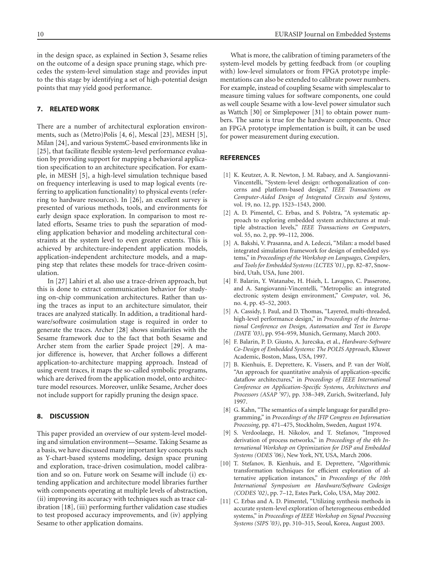## <span id="page-9-4"></span>**7. RELATED WORK**

There are a number of architectural exploration environments, such as (Metro)Polis [\[4](#page-9-12), [6](#page-9-6)], Mescal [\[23\]](#page-10-11), MESH [\[5](#page-9-3)], Milan [\[24](#page-10-12)], and various SystemC-based environments like in [\[25](#page-10-13)], that facilitate flexible system-level performance evaluation by providing support for mapping a behavioral application specification to an architecture specification. For example, in MESH [\[5](#page-9-3)], a high-level simulation technique based on frequency interleaving is used to map logical events (referring to application functionality) to physical events (referring to hardware resources). In [\[26](#page-10-14)], an excellent survey is presented of various methods, tools, and environments for early design space exploration. In comparison to most related efforts, Sesame tries to push the separation of modeling application behavior and modeling architectural constraints at the system level to even greater extents. This is achieved by architecture-independent application models, application-independent architecture models, and a mapping step that relates these models for trace-driven cosimulation.

In [\[27](#page-10-15)] Lahiri et al. also use a trace-driven approach, but this is done to extract communication behavior for studying on-chip communication architectures. Rather than using the traces as input to an architecture simulator, their traces are analyzed statically. In addition, a traditional hardware/software cosimulation stage is required in order to generate the traces. Archer [\[28\]](#page-10-16) shows similarities with the Sesame framework due to the fact that both Sesame and Archer stem from the earlier Spade project [\[29\]](#page-10-17). A major difference is, however, that Archer follows a different application-to-architecture mapping approach. Instead of using event traces, it maps the so-called symbolic programs, which are derived from the application model, onto architecture model resources. Moreover, unlike Sesame, Archer does not include support for rapidly pruning the design space.

## <span id="page-9-5"></span>**8. DISCUSSION**

This paper provided an overview of our system-level modeling and simulation environment—Sesame. Taking Sesame as a basis, we have discussed many important key concepts such as Y-chart-based systems modeling, design space pruning and exploration, trace-driven cosimulation, model calibration and so on. Future work on Sesame will include (i) extending application and architecture model libraries further with components operating at multiple levels of abstraction, (ii) improving its accuracy with techniques such as trace calibration [\[18\]](#page-10-6), (iii) performing further validation case studies to test proposed accuracy improvements, and (iv) applying Sesame to other application domains.

What is more, the calibration of timing parameters of the system-level models by getting feedback from (or coupling with) low-level simulators or from FPGA prototype implementations can also be extended to calibrate power numbers. For example, instead of coupling Sesame with simplescalar to measure timing values for software components, one could as well couple Sesame with a low-level power simulator such as Wattch [\[30\]](#page-10-18) or Simplepower [\[31\]](#page-10-19) to obtain power numbers. The same is true for the hardware components. Once an FPGA prototype implementation is built, it can be used for power measurement during execution.

## <span id="page-9-1"></span><span id="page-9-0"></span>**REFERENCES**

- [1] K. Keutzer, A. R. Newton, J. M. Rabaey, and A. Sangiovanni-Vincentelli, "System-level design: orthogonalization of concerns and platform-based design," *IEEE Transactions on Computer-Aided Design of Integrated Circuits and Systems*, vol. 19, no. 12, pp. 1523–1543, 2000.
- <span id="page-9-2"></span>[2] A. D. Pimentel, C. Erbas, and S. Polstra, "A systematic approach to exploring embedded system architectures at multiple abstraction levels," *IEEE Transactions on Computers*, vol. 55, no. 2, pp. 99–112, 2006.
- [3] A. Bakshi, V. Prasanna, and A. Ledeczi, "Milan: a model based integrated simulation framework for design of embedded systems," in *Proceedings of the Workshop on Languages, Compilers, and Tools for Embedded Systems (LCTES '01)*, pp. 82–87, Snowbird, Utah, USA, June 2001.
- <span id="page-9-12"></span>[4] F. Balarin, Y. Watanabe, H. Hsieh, L. Lavagno, C. Passerone, and A. Sangiovanni-Vincentelli, "Metropolis: an integrated electronic system design environment," *Computer*, vol. 36, no. 4, pp. 45–52, 2003.
- <span id="page-9-3"></span>[5] A. Cassidy, J. Paul, and D. Thomas, "Layered, multi-threaded, high-level performance design," in *Proceedings of the International Conference on Design, Automation and Test in Europe (DATE '03)*, pp. 954–959, Munich, Germany, March 2003.
- <span id="page-9-6"></span>[6] F. Balarin, P. D. Giusto, A. Jurecska, et al., *Hardware-Software Co-Design of Embedded Systems: The POLIS Approach*, Kluwer Academic, Boston, Mass, USA, 1997.
- <span id="page-9-7"></span>[7] B. Kienhuis, E. Deprettere, K. Vissers, and P. van der Wolf, "An approach for quantitative analysis of application-specific dataflow architectures," in *Proceedings of IEEE International Conference on Application-Specific Systems, Architectures and Processors (ASAP '97)*, pp. 338–349, Zurich, Switzerland, July 1997.
- <span id="page-9-8"></span>[8] G. Kahn, "The semantics of a simple language for parallel programming," in *Proceedings of the IFIP Congress on Information Processing*, pp. 471–475, Stockholm, Sweden, August 1974.
- <span id="page-9-9"></span>[9] S. Verdoolaege, H. Nikolov, and T. Stefanov, "Improved derivation of process networks," in *Proceedings of the 4th International Workshop on Optimization for DSP and Embedded Systems (ODES '06)*, New York, NY, USA, March 2006.
- <span id="page-9-10"></span>[10] T. Stefanov, B. Kienhuis, and E. Deprettere, "Algorithmic transformation techniques for efficient exploration of alternative application instances," in *Proceedings of the 10th International Symposium on Hardware/Software Codesign (CODES '02)*, pp. 7–12, Estes Park, Colo, USA, May 2002.
- <span id="page-9-11"></span>[11] C. Erbas and A. D. Pimentel, "Utilizing synthesis methods in accurate system-level exploration of heterogeneous embedded systems," in *Proceedings of IEEE Workshop on Signal Processing Systems (SIPS '03)*, pp. 310–315, Seoul, Korea, August 2003.